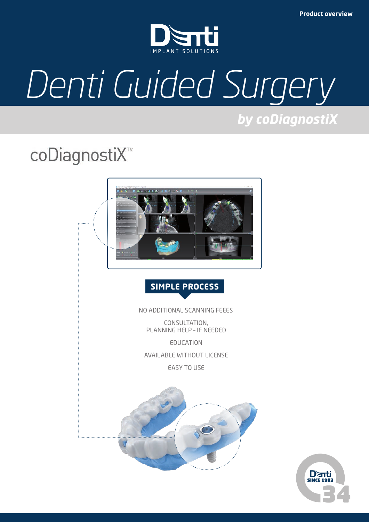

# *Denti Guided Surgery*

*by coDiagnostiX*

# coDiagnostiX<sup>™</sup>



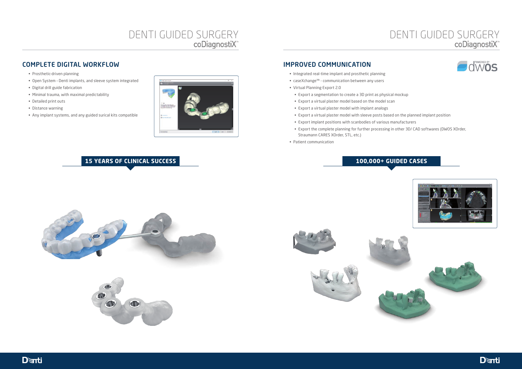# DENTI GUIDED SURGERY<br>
"
coDiagnostiX

### COMPLETE DIGITAL WORKFLOW

- Prosthetic-driven planning
- Open System Denti implants, and sleeve system integrated
- Digital drill guide fabrication
- Minimal trauma, with maximal predictability
- Detailed print outs
- Distance warning
- Any implant systems, and any guided surical kits compatible



## IMPROVED COMMUNICATION

- Integrated real-time implant and prosthetic planning
- caseXchange™ communication between any users
- Virtual Planning Export 2.0
- Export a segmentation to create a 3D print as physical mockup
- Export a virtual plaster model based on the model scan
- Export a virtual plaster model with implant analogs
- Export a virtual plaster model with sleeve posts based on the planned implant position
- Export implant positions with scanbodies of various manufacturers
- Export the complete planning for further processing in other 3D/ CAD softwares (DWOS XOrder, Straumann CARES XOrder, STL, etc.)
- Patient communication

# **15 YEARS OF CLINICAL SUCCESS 100,000+ GUIDED CASES**